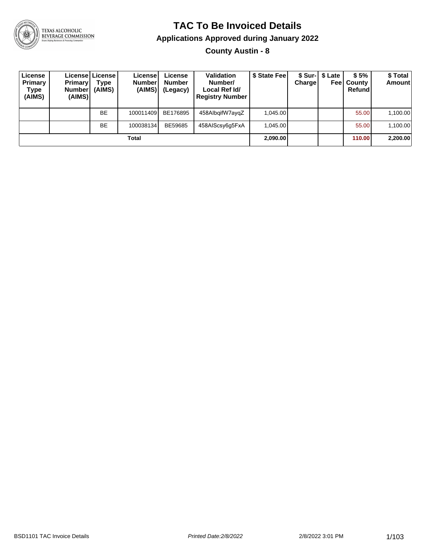

# TEXAS ALCOHOLIC<br>BEVERAGE COMMISSION

#### **TAC To Be Invoiced Details**

#### **Applications Approved during January 2022**

**County Austin - 8**

| License<br><b>Primary</b><br>Type<br>(AIMS) | <b>Primary</b><br><b>Number</b><br>(AIMS) | Licensel License I<br>Type<br>(AIMS) | License<br><b>Number</b><br>(AIMS) | License<br><b>Number</b><br>(Legacy) | <b>Validation</b><br>Number/<br>Local Ref Id/<br><b>Registry Number</b> | \$ State Feel | Charge | \$ Sur-   \$ Late<br>Feel | \$5%<br>County<br>Refund | \$ Total<br><b>Amount</b> |
|---------------------------------------------|-------------------------------------------|--------------------------------------|------------------------------------|--------------------------------------|-------------------------------------------------------------------------|---------------|--------|---------------------------|--------------------------|---------------------------|
|                                             |                                           | <b>BE</b>                            | 100011409                          | BE176895                             | 458AlbgifW7aygZ                                                         | 1,045.00      |        |                           | 55.00                    | 1,100.00                  |
|                                             |                                           | <b>BE</b>                            | 100038134                          | BE59685                              | 458AIScsy6g5FxA                                                         | 1.045.00      |        |                           | 55.00                    | 1,100.00                  |
|                                             |                                           |                                      | Total                              |                                      |                                                                         | 2,090.00      |        |                           | 110.00                   | 2,200.00                  |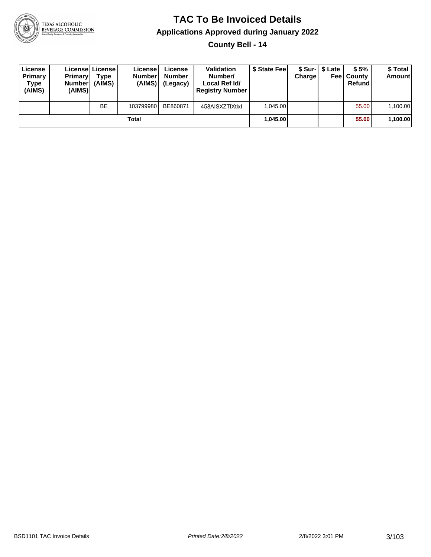

**County Bell - 14**

| License<br>Primary<br>Type<br>(AIMS) | <b>Primary</b><br><b>Number</b><br>(AIMS) | License   License  <br>Type<br>(AIMS) | License<br><b>Numberl</b><br>(AIMS) | License<br><b>Number</b><br>(Legacy) | <b>Validation</b><br>Number/<br>Local Ref Id/<br><b>Registry Number</b> | \$ State Feel | Charge | \$ Sur-1 \$ Late | \$5%<br><b>Feel County</b><br>Refund | \$ Total<br>Amount |
|--------------------------------------|-------------------------------------------|---------------------------------------|-------------------------------------|--------------------------------------|-------------------------------------------------------------------------|---------------|--------|------------------|--------------------------------------|--------------------|
|                                      |                                           | <b>BE</b>                             | 103799980                           | BE860871                             | 458AISXZTIXtlxI                                                         | 1.045.00      |        |                  | 55.00                                | 1,100.00           |
|                                      |                                           |                                       | Total                               |                                      |                                                                         | 1.045.00      |        |                  | 55.00                                | 1,100.00           |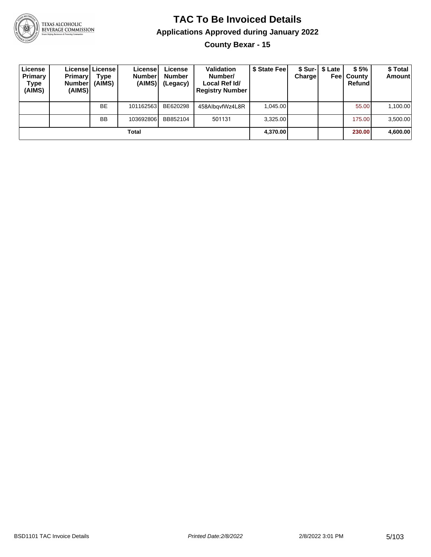

**County Bexar - 15**

| License<br>Primary<br>Type<br>(AIMS) | Primary<br>Number <br>(AIMS) | License   License  <br>Type<br>(AIMS) | Licensel<br><b>Number</b><br>(AIMS) | License<br><b>Number</b><br>(Legacy) | <b>Validation</b><br>Number/<br>Local Ref Id/<br><b>Registry Number</b> | \$ State Fee | Charge | \$ Sur-1 \$ Late<br>Feel | \$5%<br>County<br>Refund | \$Total<br><b>Amount</b> |
|--------------------------------------|------------------------------|---------------------------------------|-------------------------------------|--------------------------------------|-------------------------------------------------------------------------|--------------|--------|--------------------------|--------------------------|--------------------------|
|                                      |                              | <b>BE</b>                             | 101162563                           | BE620298                             | 458AlbayfWz4L8R                                                         | 1.045.00     |        |                          | 55.00                    | 1,100.00                 |
|                                      |                              | <b>BB</b>                             | 103692806                           | BB852104                             | 501131                                                                  | 3.325.00     |        |                          | 175.00                   | 3,500.00                 |
|                                      |                              |                                       | Total                               |                                      |                                                                         | 4,370.00     |        |                          | 230.00                   | 4,600.00                 |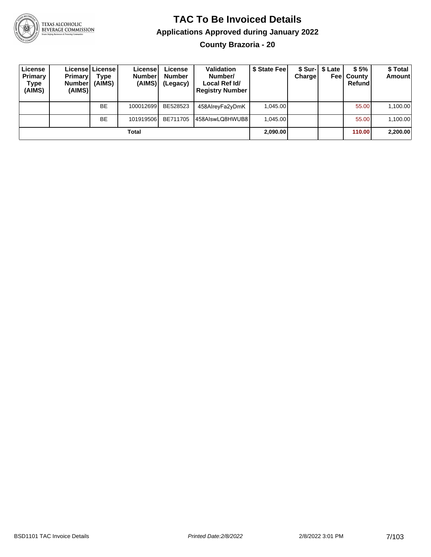

#### **TAC To Be Invoiced Details Applications Approved during January 2022 County Brazoria - 20**

| License<br>Primary<br>Type<br>(AIMS) | <b>Primary</b><br><b>Number</b><br>(AIMS) | Licensel License I<br>Type<br>(AIMS) | Licensel<br><b>Number</b><br>(AIMS) | License<br><b>Number</b><br>(Legacy) | <b>Validation</b><br>Number/<br>Local Ref Id/<br><b>Registry Number</b> | \$ State Feel | <b>Charge</b> | \$ Sur-1 \$ Late<br>Feel | \$5%<br>⊦Countv<br>Refund | \$ Total<br><b>Amount</b> |
|--------------------------------------|-------------------------------------------|--------------------------------------|-------------------------------------|--------------------------------------|-------------------------------------------------------------------------|---------------|---------------|--------------------------|---------------------------|---------------------------|
|                                      |                                           | <b>BE</b>                            | 100012699                           | BE528523                             | 458AlreyFa2yDmK                                                         | 1.045.00      |               |                          | 55.00                     | 1.100.00                  |
|                                      |                                           | <b>BE</b>                            | 101919506                           | BE711705                             | 458AlswLQ8HWUB8                                                         | 1.045.00      |               |                          | 55.00                     | 1,100.00                  |
|                                      |                                           |                                      | Total                               |                                      |                                                                         | 2,090.00      |               |                          | 110.00                    | 2,200.00                  |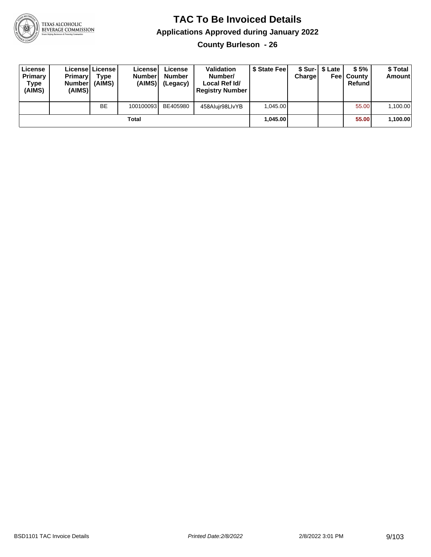

**County Burleson - 26**

| License<br>Primary<br>Type<br>(AIMS) | <b>Primary</b><br><b>Number</b><br>(AIMS) | <b>License   License</b><br>Type<br>(AIMS) | License<br><b>Number</b><br>(AIMS) | License<br><b>Number</b><br>(Legacy) | <b>Validation</b><br>Number/<br>Local Ref Id/<br><b>Registry Number</b> | \$ State Feel | Charge | \$ Sur-1 \$ Late | \$5%<br><b>Feel County</b><br>Refund | \$ Total<br><b>Amount</b> |
|--------------------------------------|-------------------------------------------|--------------------------------------------|------------------------------------|--------------------------------------|-------------------------------------------------------------------------|---------------|--------|------------------|--------------------------------------|---------------------------|
|                                      |                                           | <b>BE</b>                                  | 100100093                          | BE405980                             | 458Alujr98LlvYB                                                         | 1.045.00      |        |                  | 55.00                                | 1,100.00                  |
|                                      |                                           |                                            | Total                              |                                      |                                                                         | 1.045.00      |        |                  | 55.00                                | 1,100.00                  |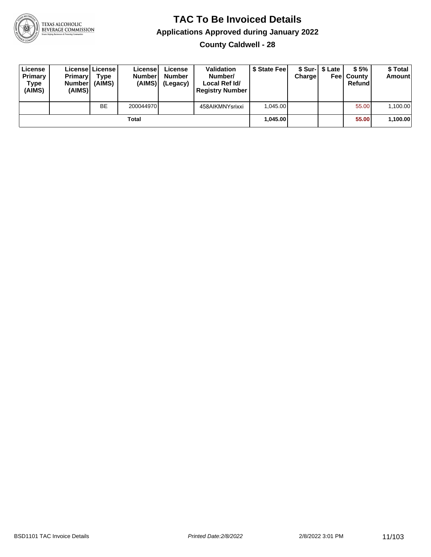

**County Caldwell - 28**

| License<br>Primary<br>Type<br>(AIMS) | <b>Primary</b><br><b>Number</b><br>(AIMS) | License   License  <br>Type<br>(AIMS) | License<br><b>Number</b><br>(AIMS) | License<br><b>Number</b><br>(Legacy) | <b>Validation</b><br>Number/<br>Local Ref Id/<br><b>Registry Number</b> | \$ State Feel | Charge | \$ Sur-1 \$ Late | \$5%<br><b>Feel County</b><br>Refund | \$ Total<br><b>Amount</b> |
|--------------------------------------|-------------------------------------------|---------------------------------------|------------------------------------|--------------------------------------|-------------------------------------------------------------------------|---------------|--------|------------------|--------------------------------------|---------------------------|
|                                      |                                           | <b>BE</b>                             | 200044970                          |                                      | 458AIKMNYsrixxi                                                         | 1.045.00      |        |                  | 55.00                                | 1,100.00                  |
|                                      |                                           |                                       | Total                              |                                      |                                                                         | 1.045.00      |        |                  | 55.00                                | 1,100.00                  |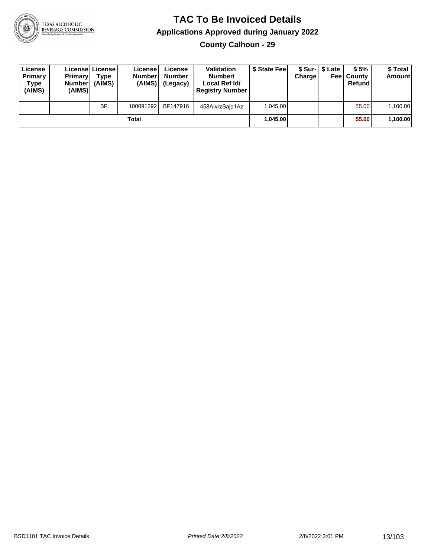

**County Calhoun - 29**

| License<br>Primary<br>Type<br>(AIMS) | <b>Primary</b><br>Number<br>(AIMS) | Licensel License<br>Type<br>(AIMS) | License<br><b>Number</b><br>(AIMS) | License<br><b>Number</b><br>(Legacy) | <b>Validation</b><br>Number/<br>Local Ref Id/<br><b>Registry Number</b> | \$ State Fee | Charge | \$ Sur-1 \$ Late | \$5%<br><b>Feel County</b><br>Refund | \$ Total<br><b>Amount</b> |
|--------------------------------------|------------------------------------|------------------------------------|------------------------------------|--------------------------------------|-------------------------------------------------------------------------|--------------|--------|------------------|--------------------------------------|---------------------------|
|                                      |                                    | <b>BF</b>                          | 100091292                          | BF147916                             | 458AlvrzSaip1Az                                                         | 1.045.00     |        |                  | 55.00                                | 1,100.00                  |
|                                      |                                    |                                    | Total                              |                                      |                                                                         | 1.045.00     |        |                  | 55.00                                | 1,100.00                  |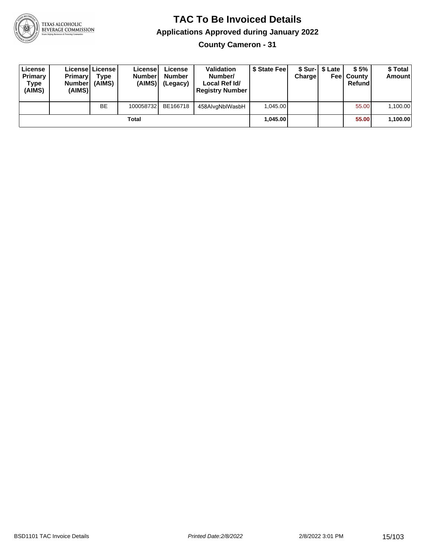

**County Cameron - 31**

| License<br>Primary<br>Type<br>(AIMS) | <b>Primary</b><br><b>Number</b><br>(AIMS) | Licensel License<br>Type<br>(AIMS) | License<br><b>Number</b><br>(AIMS) | License<br><b>Number</b><br>(Legacy) | <b>Validation</b><br>Number/<br>Local Ref Id/<br><b>Registry Number</b> | \$ State Feel | Charge | \$ Sur-1 \$ Late | \$5%<br><b>Feel County</b><br>Refund | \$ Total<br><b>Amount</b> |
|--------------------------------------|-------------------------------------------|------------------------------------|------------------------------------|--------------------------------------|-------------------------------------------------------------------------|---------------|--------|------------------|--------------------------------------|---------------------------|
|                                      |                                           | <b>BE</b>                          | 100058732                          | BE166718                             | 458AlvgNblWasbH                                                         | 1.045.00      |        |                  | 55.00                                | 1,100.00                  |
|                                      |                                           |                                    | Total                              |                                      |                                                                         | 1.045.00      |        |                  | 55.00                                | 1,100.00                  |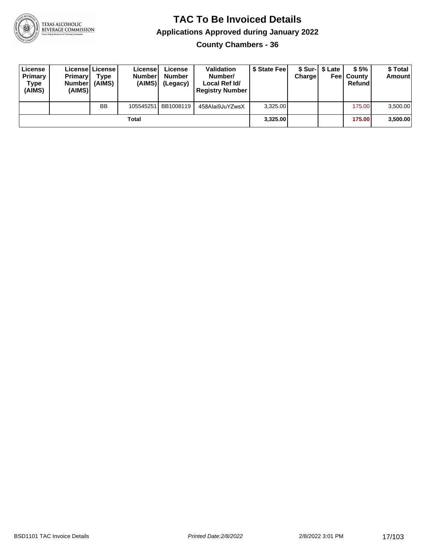

**County Chambers - 36**

| License<br>Primary<br>Type<br>(AIMS) | <b>Primary</b><br><b>Number</b><br>(AIMS)I | <b>License   License</b><br>Type<br>(AIMS) | License<br><b>Number</b><br>(AIMS) | License<br><b>Number</b><br>(Legacy) | <b>Validation</b><br>Number/<br>Local Ref Id/<br><b>Registry Number</b> | \$ State Feel | Charge | \$ Sur-1 \$ Late | \$5%<br><b>Feel County</b><br>Refund | \$ Total<br><b>Amount</b> |
|--------------------------------------|--------------------------------------------|--------------------------------------------|------------------------------------|--------------------------------------|-------------------------------------------------------------------------|---------------|--------|------------------|--------------------------------------|---------------------------|
|                                      |                                            | <b>BB</b>                                  | 105545251                          | BB1008119                            | 458Alai9JuYZwsX                                                         | 3.325.00      |        |                  | 175.00                               | 3,500.00                  |
|                                      |                                            |                                            | Total                              |                                      |                                                                         | 3,325.00      |        |                  | 175.00                               | 3,500.00                  |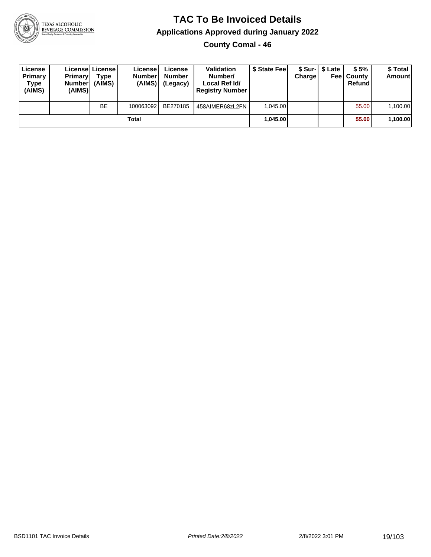

**County Comal - 46**

| License<br>Primary<br>Type<br>(AIMS) | <b>Primary</b><br><b>Number</b><br>(AIMS) | Licensel License I<br>Type<br>(AIMS) | License<br><b>Number</b><br>(AIMS) | License<br><b>Number</b><br>(Legacy) | <b>Validation</b><br>Number/<br>Local Ref Id/<br><b>Registry Number</b> | \$ State Fee | Charge | \$ Sur-1 \$ Late | \$5%<br><b>Feel County</b><br>Refund | \$ Total<br><b>Amount</b> |
|--------------------------------------|-------------------------------------------|--------------------------------------|------------------------------------|--------------------------------------|-------------------------------------------------------------------------|--------------|--------|------------------|--------------------------------------|---------------------------|
|                                      |                                           | <b>BE</b>                            | 100063092                          | BE270185                             | 458AIMER68zL2FN                                                         | 1.045.00     |        |                  | 55.00                                | 1,100.00                  |
|                                      |                                           |                                      | Total                              |                                      |                                                                         | 1.045.00     |        |                  | 55.00                                | 1,100.00                  |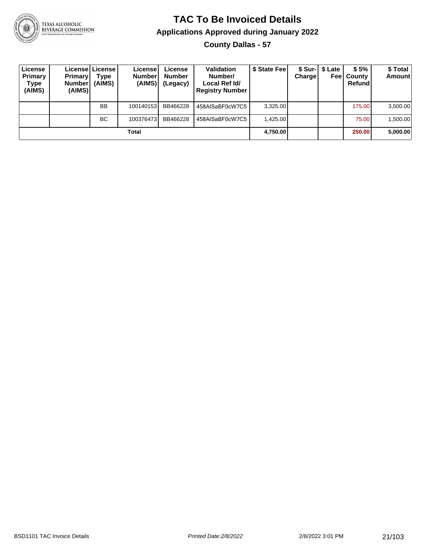

**County Dallas - 57**

| License<br>Primary<br>Type<br>(AIMS) | <b>Primary</b><br><b>Number</b><br>(AIMS) | Licensel License I<br>Type<br>(AIMS) | License<br><b>Number</b><br>(AIMS) | License<br><b>Number</b><br>(Legacy) | <b>Validation</b><br>Number/<br>Local Ref Id/<br><b>Registry Number</b> | \$ State Feel | Charge | \$ Sur-1 \$ Late<br>Feel | \$5%<br>County<br>Refund | \$ Total<br>Amount |
|--------------------------------------|-------------------------------------------|--------------------------------------|------------------------------------|--------------------------------------|-------------------------------------------------------------------------|---------------|--------|--------------------------|--------------------------|--------------------|
|                                      |                                           | <b>BB</b>                            | 100140153                          | BB466228                             | 458AISaBF0cW7C5                                                         | 3,325.00      |        |                          | 175.00                   | 3,500.00           |
|                                      |                                           | <b>BC</b>                            | 100376473                          | BB466228                             | 458AISaBF0cW7C5                                                         | 1.425.00      |        |                          | 75.00                    | 1,500.00           |
|                                      |                                           |                                      | Total                              |                                      |                                                                         | 4,750.00      |        |                          | 250.00                   | 5,000.00           |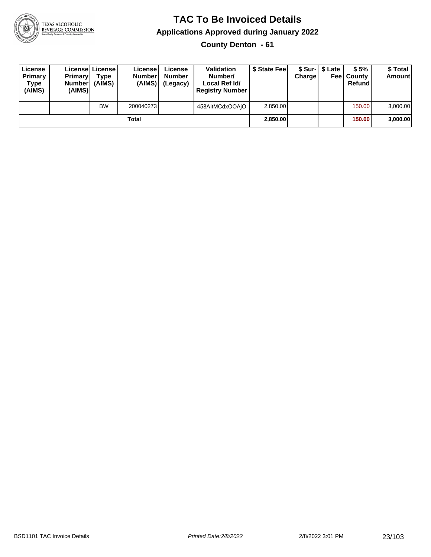

**County Denton - 61**

| License<br>Primary<br>Type<br>(AIMS) | <b>Primary</b><br><b>Number</b><br>(AIMS) | Licensel License<br>Type<br>(AIMS) | License<br><b>Number</b><br>(AIMS) | License<br><b>Number</b><br>(Legacy) | <b>Validation</b><br>Number/<br>Local Ref Id/<br><b>Registry Number</b> | \$ State Fee | Charge | \$ Sur-1 \$ Late | \$5%<br><b>Feel County</b><br>Refund | \$ Total<br><b>Amount</b> |
|--------------------------------------|-------------------------------------------|------------------------------------|------------------------------------|--------------------------------------|-------------------------------------------------------------------------|--------------|--------|------------------|--------------------------------------|---------------------------|
|                                      |                                           | <b>BW</b>                          | 200040273                          |                                      | 458AltMCdxOOAjO                                                         | 2.850.00     |        |                  | 150.00                               | 3,000.00                  |
|                                      |                                           |                                    | Total                              |                                      |                                                                         | 2,850.00     |        |                  | 150.00                               | 3,000.00                  |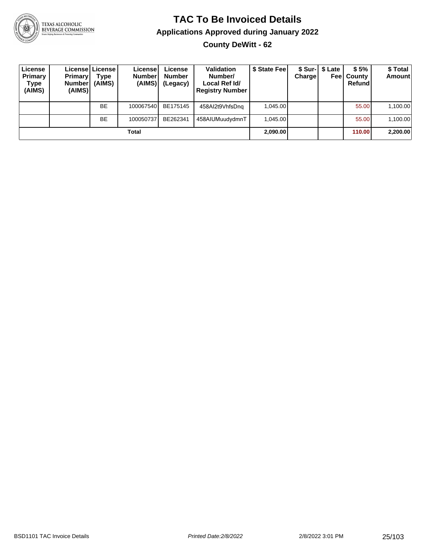

#### **TAC To Be Invoiced Details Applications Approved during January 2022 County DeWitt - 62**

**License Primary Type (AIMS) License License Primary Number (AIMS) Type (AIMS) License Number (AIMS) License Number (Legacy) Validation Number/ Local Ref Id/ Registry Number \$ State Fee \$ Sur-Charge \$ Late Fee County \$ 5% Refund \$ Total Amount** BE 100067540 BE175145 458AI2t9VhfsDnq 1,045.00 55.00 1,100.00 BE | 100050737 BE262341 | 458AIUMuudydmnT | 1,045.00 | | | | | | | 55.00 | 1,100.00 **Total 2,090.00 110.00 2,200.00**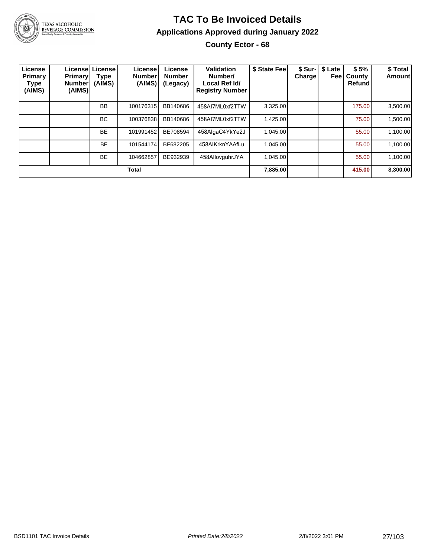

TEXAS ALCOHOLIC<br>BEVERAGE COMMISSION

#### **TAC To Be Invoiced Details Applications Approved during January 2022 County Ector - 68**

| License<br>Primary<br>Type<br>(AIMS) | <b>Primary</b><br><b>Number</b><br>(AIMS) | Licensel License I<br>Type<br>(AIMS) | License <sup>!</sup><br><b>Number</b><br>(AIMS) | License<br><b>Number</b><br>(Legacy) | Validation<br>Number/<br>Local Ref Id/<br><b>Registry Number</b> | \$ State Fee | Charge | \$ Sur-   \$ Late<br>Feel | \$5%<br>County<br>Refund | \$ Total<br>Amount |
|--------------------------------------|-------------------------------------------|--------------------------------------|-------------------------------------------------|--------------------------------------|------------------------------------------------------------------|--------------|--------|---------------------------|--------------------------|--------------------|
|                                      |                                           | <b>BB</b>                            | 100176315                                       | BB140686                             | 458AI7ML0xf2TTW                                                  | 3,325.00     |        |                           | 175.00                   | 3,500.00           |
|                                      |                                           | BC.                                  | 100376838                                       | BB140686                             | 458AI7ML0xf2TTW                                                  | 1,425.00     |        |                           | 75.00                    | 1,500.00           |
|                                      |                                           | <b>BE</b>                            | 101991452                                       | BE708594                             | 458AlgaC4YkYe2J                                                  | 1.045.00     |        |                           | 55.00                    | 1,100.00           |
|                                      |                                           | <b>BF</b>                            | 101544174                                       | BF682205                             | 458AIKrknYAAfLu                                                  | 1.045.00     |        |                           | 55.00                    | 1,100.00           |
|                                      |                                           | <b>BE</b>                            | 104662857                                       | BE932939                             | 458AllovguhrJYA                                                  | 1.045.00     |        |                           | 55.00                    | 1,100.00           |
|                                      |                                           |                                      | <b>Total</b>                                    |                                      |                                                                  | 7,885.00     |        |                           | 415.00                   | 8,300.00           |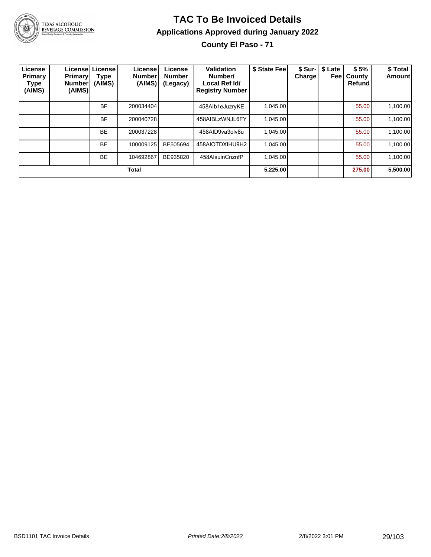

**County El Paso - 71**

| License<br>Primary<br><b>Type</b><br>(AIMS) | <b>Primary</b><br><b>Number</b><br>(AIMS) | Licensel License<br><b>Type</b><br>(AIMS) | License<br><b>Number</b><br>(AIMS) | License<br><b>Number</b><br>(Legacy) | Validation<br>Number/<br>Local Ref Id/<br><b>Registry Number</b> | \$ State Fee | Charge | \$ Sur-   \$ Late<br>Feel | \$5%<br>County<br>Refund | \$Total<br><b>Amount</b> |
|---------------------------------------------|-------------------------------------------|-------------------------------------------|------------------------------------|--------------------------------------|------------------------------------------------------------------|--------------|--------|---------------------------|--------------------------|--------------------------|
|                                             |                                           | <b>BF</b>                                 | 200034404                          |                                      | 458Alb1eJuzryKE                                                  | 1,045.00     |        |                           | 55.00                    | 1,100.00                 |
|                                             |                                           | <b>BF</b>                                 | 200040728                          |                                      | 458AIBLzWNJL6FY                                                  | 1,045.00     |        |                           | 55.00                    | 1,100.00                 |
|                                             |                                           | <b>BE</b>                                 | 200037228                          |                                      | 458AID9va3olv8u                                                  | 1,045.00     |        |                           | 55.00                    | 1,100.00                 |
|                                             |                                           | <b>BE</b>                                 | 100009125                          | BE505694                             | 458AIOTDXIHU9H2                                                  | 1,045.00     |        |                           | 55.00                    | 1.100.00                 |
|                                             |                                           | <b>BE</b>                                 | 104692867                          | BE935820                             | 458AlsuinCnznfP                                                  | 1.045.00     |        |                           | 55.00                    | 1.100.00                 |
| <b>Total</b>                                |                                           |                                           |                                    |                                      |                                                                  | 5,225.00     |        |                           | 275.00                   | 5,500.00                 |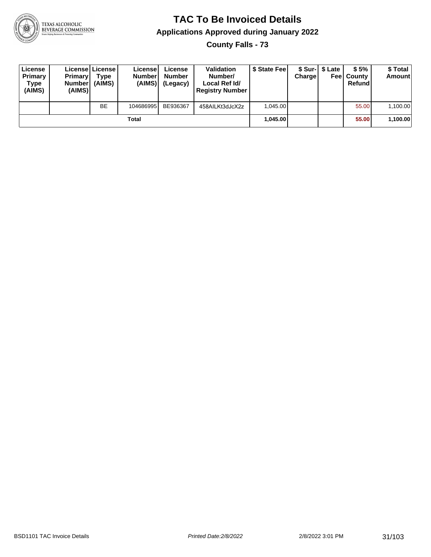

**County Falls - 73**

| License<br>Primary<br>Type<br>(AIMS) | <b>Primary</b><br><b>Number</b><br>(AIMS) | License   License  <br>Type<br>(AIMS) | License<br><b>Numberl</b><br>(AIMS) | License<br><b>Number</b><br>(Legacy) | <b>Validation</b><br>Number/<br>Local Ref Id/<br><b>Registry Number</b> | \$ State Feel | Charge | \$ Sur-1 \$ Late | \$5%<br><b>Feel County</b><br>Refund | \$ Total<br>Amount |
|--------------------------------------|-------------------------------------------|---------------------------------------|-------------------------------------|--------------------------------------|-------------------------------------------------------------------------|---------------|--------|------------------|--------------------------------------|--------------------|
|                                      |                                           | <b>BE</b>                             | 104686995                           | BE936367                             | 458AILKt3dJcX2z                                                         | 1.045.00      |        |                  | 55.00                                | 1,100.00           |
| Total                                |                                           |                                       |                                     |                                      |                                                                         | 1.045.00      |        |                  | 55.00                                | 1,100.00           |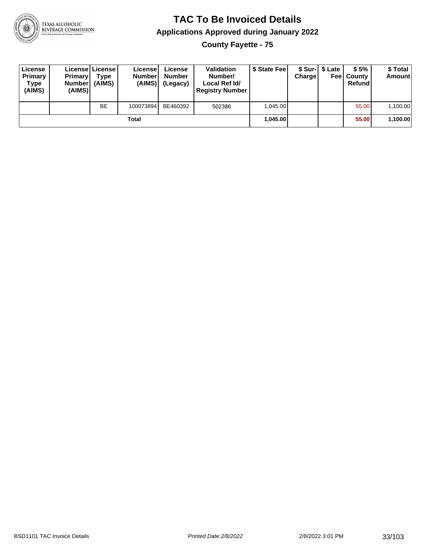

**County Fayette - 75**

| License<br>Primary<br>Type<br>(AIMS) | <b>Primary</b><br><b>Number</b><br>(AIMS) | <b>License   License</b><br>Type<br>(AIMS) | License<br><b>Number</b><br>(AIMS) | License<br><b>Number</b><br>(Legacy) | <b>Validation</b><br>Number/<br>Local Ref Id/<br><b>Registry Number</b> | \$ State Feel | Charge   | \$ Sur-1 \$ Late | \$5%<br><b>Feel County</b><br>Refund | \$ Total<br><b>Amount</b> |
|--------------------------------------|-------------------------------------------|--------------------------------------------|------------------------------------|--------------------------------------|-------------------------------------------------------------------------|---------------|----------|------------------|--------------------------------------|---------------------------|
|                                      |                                           | <b>BE</b>                                  | 100073894                          | BE460392                             | 502386                                                                  | 1.045.00      |          |                  | 55.00                                | 1,100.00                  |
| Total                                |                                           |                                            |                                    |                                      |                                                                         |               | 1.045.00 |                  | 55.00                                | 1,100.00                  |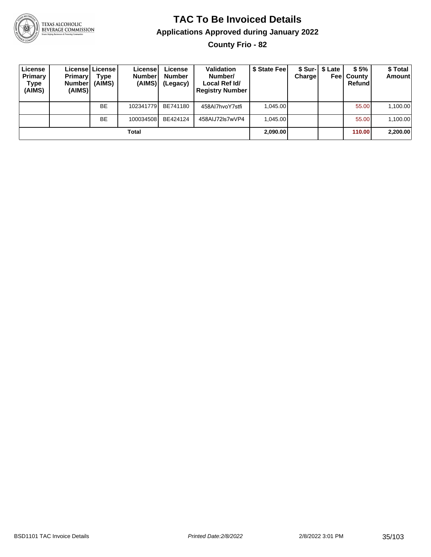

**County Frio - 82**

| License<br><b>Primary</b><br>Type<br>(AIMS) | <b>Primary</b><br><b>Number</b><br>(AIMS) | License   License  <br>Type<br>(AIMS) | Licensel<br><b>Number</b><br>(AIMS) | License<br><b>Number</b><br>(Legacy) | <b>Validation</b><br>Number/<br>Local Ref Id/<br><b>Registry Number</b> | \$ State Feel | Chargel  | \$ Sur-1 \$ Late<br>Feel | \$5%<br>County<br>Refund | \$Total<br><b>Amount</b> |
|---------------------------------------------|-------------------------------------------|---------------------------------------|-------------------------------------|--------------------------------------|-------------------------------------------------------------------------|---------------|----------|--------------------------|--------------------------|--------------------------|
|                                             |                                           | <b>BE</b>                             | 102341779                           | BE741180                             | 458AI7hvoY7stfi                                                         | 1.045.00      |          |                          | 55.00                    | 1,100.00                 |
|                                             |                                           | BE                                    | 100034508                           | BE424124                             | 458AIJ72Is7wVP4                                                         | 1.045.00      |          |                          | 55.00                    | 1,100.00                 |
| Total                                       |                                           |                                       |                                     |                                      |                                                                         |               | 2,090.00 |                          | 110.00                   | 2,200.00                 |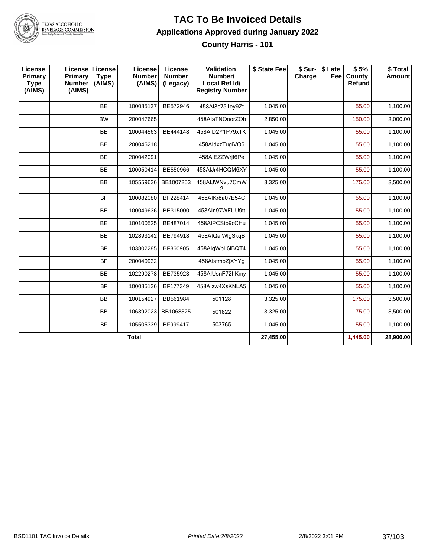

**County Harris - 101**

| License<br>Primary<br><b>Type</b><br>(AIMS) | Primary<br><b>Number</b><br>(AIMS) | License License<br><b>Type</b><br>(AIMS) | License<br><b>Number</b><br>(AIMS) | License<br><b>Number</b><br>(Legacy) | Validation<br>Number/<br>Local Ref Id/<br><b>Registry Number</b> | \$ State Fee | \$ Sur-<br>Charge | \$ Late<br>Feel | \$5%<br>County<br>Refund | \$Total<br><b>Amount</b> |
|---------------------------------------------|------------------------------------|------------------------------------------|------------------------------------|--------------------------------------|------------------------------------------------------------------|--------------|-------------------|-----------------|--------------------------|--------------------------|
|                                             |                                    | <b>BE</b>                                | 100085137                          | BE572946                             | 458Al8c751ey9Zt                                                  | 1,045.00     |                   |                 | 55.00                    | 1,100.00                 |
|                                             |                                    | <b>BW</b>                                | 200047665                          |                                      | 458AlaTNQoorZOb                                                  | 2,850.00     |                   |                 | 150.00                   | 3,000.00                 |
|                                             |                                    | <b>BE</b>                                | 100044563                          | BE444148                             | 458AID2Y1P79xTK                                                  | 1,045.00     |                   |                 | 55.00                    | 1,100.00                 |
|                                             |                                    | <b>BE</b>                                | 200045218                          |                                      | 458AldxzTugiVO6                                                  | 1,045.00     |                   |                 | 55.00                    | 1,100.00                 |
|                                             |                                    | BE                                       | 200042091                          |                                      | 458AIEZZWrif6Pe                                                  | 1,045.00     |                   |                 | 55.00                    | 1,100.00                 |
|                                             |                                    | <b>BE</b>                                | 100050414                          | BE550966                             | 458AIJr4HCQM6XY                                                  | 1,045.00     |                   |                 | 55.00                    | 1,100.00                 |
|                                             |                                    | BB                                       | 105559636                          | BB1007253                            | 458AIJWNvu7CmW<br>2                                              | 3,325.00     |                   |                 | 175.00                   | 3,500.00                 |
|                                             |                                    | <b>BF</b>                                | 100082080                          | BF228414                             | 458AIKr8a07E54C                                                  | 1,045.00     |                   |                 | 55.00                    | 1,100.00                 |
|                                             |                                    | <b>BE</b>                                | 100049636                          | BE315000                             | 458AIn97WFUU9tt                                                  | 1,045.00     |                   |                 | 55.00                    | 1,100.00                 |
|                                             |                                    | <b>BE</b>                                | 100100525                          | BE487014                             | 458AIPCStb9cCHu                                                  | 1,045.00     |                   |                 | 55.00                    | 1,100.00                 |
|                                             |                                    | <b>BE</b>                                | 102893142                          | BE794918                             | 458AIQaIWlgSkqB                                                  | 1,045.00     |                   |                 | 55.00                    | 1,100.00                 |
|                                             |                                    | <b>BF</b>                                | 103802285                          | BF860905                             | 458AlqWpL6IBQT4                                                  | 1,045.00     |                   |                 | 55.00                    | 1,100.00                 |
|                                             |                                    | <b>BF</b>                                | 200040932                          |                                      | 458AlstmpZjXYYg                                                  | 1,045.00     |                   |                 | 55.00                    | 1,100.00                 |
|                                             |                                    | <b>BE</b>                                | 102290278                          | BE735923                             | 458AIUsnF72hKmy                                                  | 1,045.00     |                   |                 | 55.00                    | 1,100.00                 |
|                                             |                                    | <b>BF</b>                                | 100085136                          | BF177349                             | 458Alzw4XsKNLA5                                                  | 1,045.00     |                   |                 | 55.00                    | 1,100.00                 |
|                                             |                                    | <b>BB</b>                                | 100154927                          | BB561984                             | 501128                                                           | 3,325.00     |                   |                 | 175.00                   | 3,500.00                 |
|                                             |                                    | <b>BB</b>                                | 106392023                          | BB1068325                            | 501822                                                           | 3,325.00     |                   |                 | 175.00                   | 3,500.00                 |
|                                             |                                    | <b>BF</b>                                | 105505339                          | BF999417                             | 503765                                                           | 1,045.00     |                   |                 | 55.00                    | 1,100.00                 |
|                                             |                                    |                                          | <b>Total</b>                       |                                      |                                                                  | 27,455.00    |                   |                 | 1,445.00                 | 28,900.00                |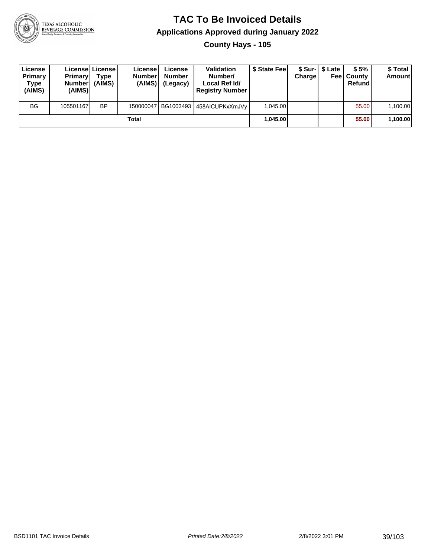

**County Hays - 105**

| License<br>Primary<br>Type<br>(AIMS) | <b>Primary</b><br><b>Number</b><br>(AIMS) | Licensel License I<br><b>Type</b><br>(AIMS) | Licensel<br><b>Number</b><br>(AIMS) | License<br><b>Number</b><br>(Legacy) | <b>Validation</b><br>Number/<br>Local Ref Id/<br><b>Registry Number</b> | \$ State Feel | Charge | \$ Sur-1 \$ Late | \$5%<br><b>Feel County</b><br>Refund | \$ Total<br><b>Amount</b> |
|--------------------------------------|-------------------------------------------|---------------------------------------------|-------------------------------------|--------------------------------------|-------------------------------------------------------------------------|---------------|--------|------------------|--------------------------------------|---------------------------|
| <b>BG</b>                            | 105501167                                 | <b>BP</b>                                   |                                     |                                      | 150000047   BG1003493   458AICUPKxXmJVy                                 | 1.045.00      |        |                  | 55.00                                | 1,100.00                  |
|                                      |                                           |                                             | Total                               |                                      |                                                                         | 1.045.00      |        |                  | 55.00                                | 1,100.00                  |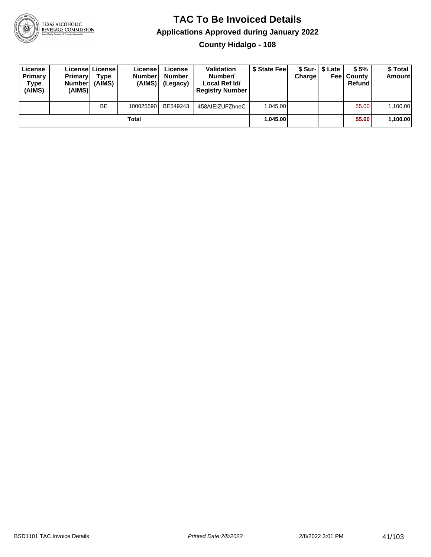

**County Hidalgo - 108**

| License<br>Primary<br>Type<br>(AIMS) | <b>Primary</b><br><b>Number</b><br>(AIMS) | Licensel License I<br>Type<br>(AIMS) | License<br><b>Number</b><br>(AIMS) | License<br><b>Number</b><br>(Legacy) | <b>Validation</b><br>Number/<br>Local Ref Id/<br><b>Registry Number</b> | \$ State Fee | Charge | \$ Sur-1 \$ Late | \$5%<br><b>Feel County</b><br>Refund | \$ Total<br><b>Amount</b> |
|--------------------------------------|-------------------------------------------|--------------------------------------|------------------------------------|--------------------------------------|-------------------------------------------------------------------------|--------------|--------|------------------|--------------------------------------|---------------------------|
|                                      |                                           | <b>BE</b>                            | 100025590                          | BE549243                             | 458AIEIZUFZhneC                                                         | 1.045.00     |        |                  | 55.00                                | 1,100.00                  |
|                                      |                                           |                                      | Total                              |                                      |                                                                         | 1.045.00     |        |                  | 55.00                                | 1,100.00                  |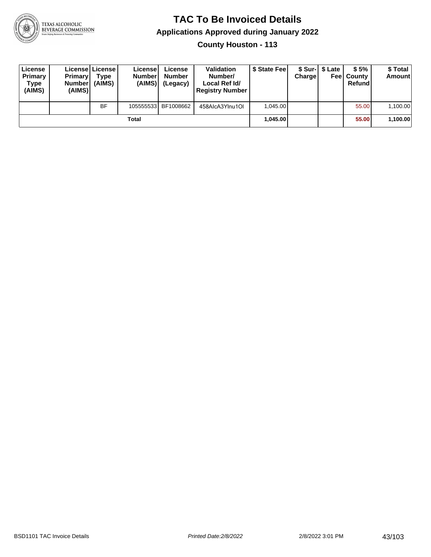

**County Houston - 113**

| License<br><b>Primary</b><br>Type<br>(AIMS) | <b>Primary</b><br><b>Number</b><br>(AIMS) | <b>License   License</b><br>Type<br>(AIMS) | License<br><b>Number</b><br>(AIMS) | License<br><b>Number</b><br>(Legacy) | <b>Validation</b><br>Number/<br>Local Ref Id/<br><b>Registry Number</b> | \$ State Feel | Charge | \$ Sur-1 \$ Late | \$5%<br><b>Feel County</b><br>Refund | \$ Total<br><b>Amount</b> |
|---------------------------------------------|-------------------------------------------|--------------------------------------------|------------------------------------|--------------------------------------|-------------------------------------------------------------------------|---------------|--------|------------------|--------------------------------------|---------------------------|
|                                             |                                           | <b>BF</b>                                  |                                    | 105555533 BF1008662                  | 458AlcA3YInu1OI                                                         | 1.045.00      |        |                  | 55.00                                | 1,100.00                  |
|                                             |                                           |                                            | Total                              |                                      |                                                                         | 1.045.00      |        |                  | 55.00                                | 1,100.00                  |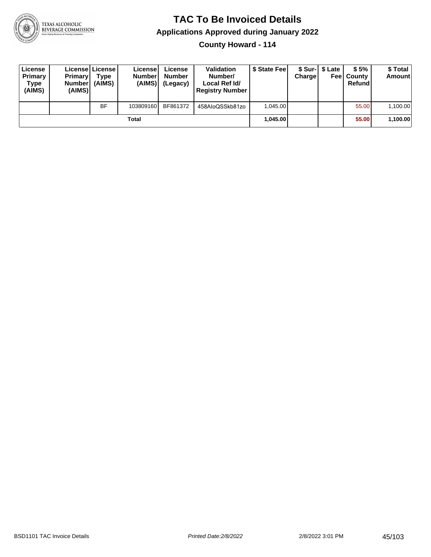

**County Howard - 114**

| License<br>Primary<br><b>Type</b><br>(AIMS) | <b>Primary</b><br><b>Number</b><br>(AIMS) | <b>Licensel License I</b><br>Type<br>(AIMS) | Licensel<br><b>Number</b><br>(AIMS) | ∟icense<br><b>Number</b><br>(Legacy) | Validation<br>Number/<br>Local Ref Id/<br><b>Registry Number</b> | \$ State Fee | Charge | \$ Sur-1 \$ Late<br>Feel | \$5%<br>County<br>Refund | \$ Total<br><b>Amount</b> |
|---------------------------------------------|-------------------------------------------|---------------------------------------------|-------------------------------------|--------------------------------------|------------------------------------------------------------------|--------------|--------|--------------------------|--------------------------|---------------------------|
|                                             |                                           | <b>BF</b>                                   | 103809160                           | BF861372                             | 458AloQSSkb81zo                                                  | 1.045.00     |        |                          | 55.00                    | 1,100.00                  |
|                                             |                                           |                                             | Total                               |                                      |                                                                  | 1.045.00     |        |                          | 55.00                    | 1,100.00                  |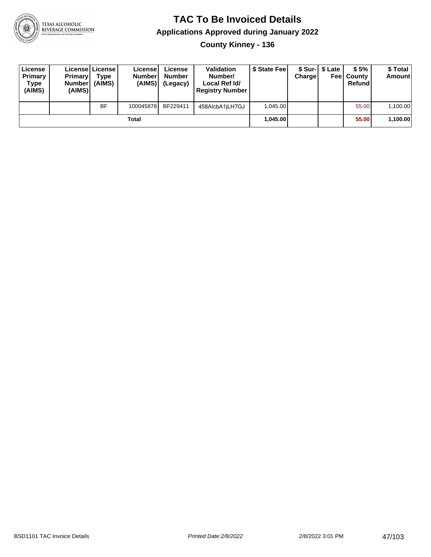

**County Kinney - 136**

| License<br><b>Primary</b><br>Type<br>(AIMS) | <b>Primary</b><br><b>Number</b><br>(AIMS) | <b>License   License</b><br>Type<br>(AIMS) | License<br><b>Number</b><br>(AIMS) | License<br><b>Number</b><br>(Legacy) | <b>Validation</b><br>Number/<br>Local Ref Id/<br><b>Registry Number</b> | \$ State Feel | Charge | \$ Sur-1 \$ Late | \$5%<br><b>Feel County</b><br>Refund | \$ Total<br><b>Amount</b> |
|---------------------------------------------|-------------------------------------------|--------------------------------------------|------------------------------------|--------------------------------------|-------------------------------------------------------------------------|---------------|--------|------------------|--------------------------------------|---------------------------|
|                                             |                                           | <b>BF</b>                                  | 100045878                          | BF229411                             | 458AlcbA1jLH7GJ                                                         | 1.045.00      |        |                  | 55.00                                | 1,100.00                  |
|                                             |                                           |                                            | Total                              |                                      |                                                                         | 1.045.00      |        |                  | 55.00                                | 1,100.00                  |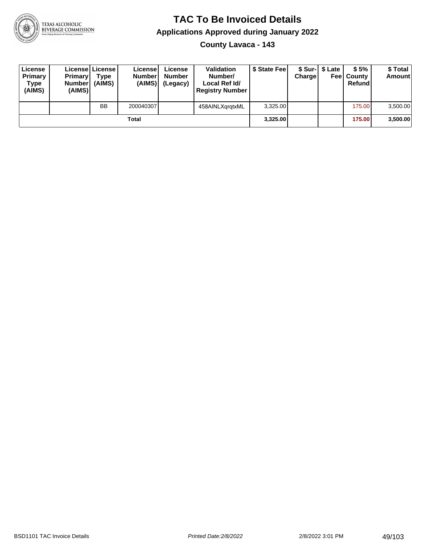

#### **TAC To Be Invoiced Details Applications Approved during January 2022 County Lavaca - 143**

| License<br>Primary<br>Type<br>(AIMS) | <b>Primary</b><br><b>Number</b><br>(AIMS) | Licensel License I<br>Type<br>(AIMS) | Licensel<br><b>Number</b><br>(AIMS) | License<br><b>Number</b><br>(Legacy) | <b>Validation</b><br>Number/<br>Local Ref Id/<br><b>Registry Number</b> | \$ State Feel | Chargel | \$ Sur-1 \$ Late | \$5%<br><b>Feel County</b><br>Refund | \$ Total<br><b>Amount</b> |
|--------------------------------------|-------------------------------------------|--------------------------------------|-------------------------------------|--------------------------------------|-------------------------------------------------------------------------|---------------|---------|------------------|--------------------------------------|---------------------------|
|                                      |                                           | <b>BB</b>                            | 200040307                           |                                      | 458AINLXgrgtxML                                                         | 3.325.00      |         |                  | 175.00                               | 3,500.00                  |
|                                      |                                           |                                      | Total                               |                                      |                                                                         | 3,325.00      |         |                  | 175.00                               | 3,500.00                  |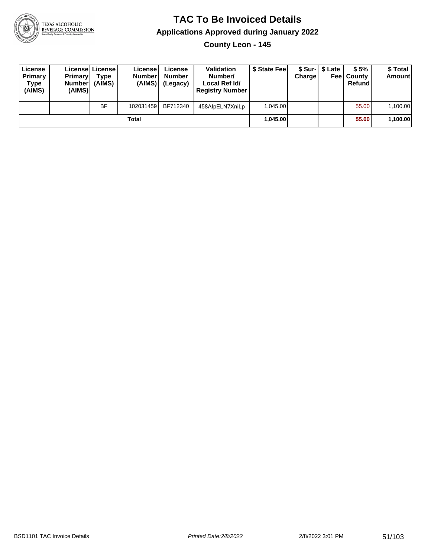

**County Leon - 145**

| License<br>Primary<br>Type<br>(AIMS) | <b>Primary</b><br><b>Number</b><br>(AIMS) | License License<br>Type<br>(AIMS) | License<br><b>Number</b><br>(AIMS) l | License<br><b>Number</b><br>(Legacy) | <b>Validation</b><br>Number/<br>Local Ref Id/<br><b>Registry Number</b> | \$ State Feel | Charge | \$ Sur-1 \$ Late | \$5%<br><b>Feel County</b><br>Refund | \$ Total<br><b>Amount</b> |
|--------------------------------------|-------------------------------------------|-----------------------------------|--------------------------------------|--------------------------------------|-------------------------------------------------------------------------|---------------|--------|------------------|--------------------------------------|---------------------------|
|                                      |                                           | <b>BF</b>                         | 102031459                            | BF712340                             | 458AlpELN7XniLp                                                         | 1.045.00      |        |                  | 55.00                                | 1,100.00                  |
|                                      |                                           |                                   | Total                                |                                      |                                                                         | 1.045.00      |        |                  | 55.00                                | 1,100.00                  |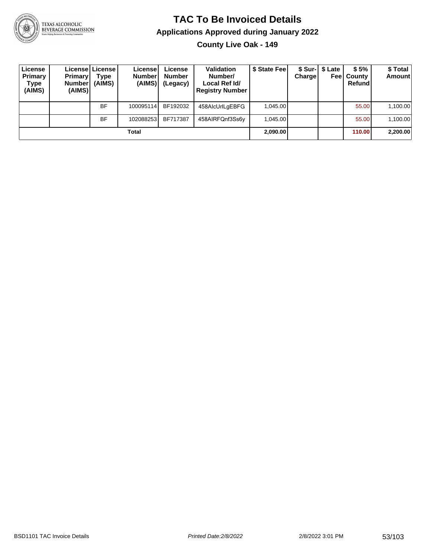

**County Live Oak - 149**

| License<br>Primary<br>Type<br>(AIMS) | <b>Primary</b><br><b>Number</b><br>(AIMS) | License   License  <br>Type<br>(AIMS) | License<br><b>Numberl</b><br>(AIMS) | License<br><b>Number</b><br>(Legacy) | <b>Validation</b><br>Number/<br>Local Ref Id/<br><b>Registry Number</b> | \$ State Fee | Charge | \$ Sur-1 \$ Late | \$5%<br><b>Feel County</b><br>Refund | \$ Total<br>Amount |
|--------------------------------------|-------------------------------------------|---------------------------------------|-------------------------------------|--------------------------------------|-------------------------------------------------------------------------|--------------|--------|------------------|--------------------------------------|--------------------|
|                                      |                                           | <b>BF</b>                             | 100095114                           | BF192032                             | 458AlcUrlLgEBFG                                                         | 1.045.00     |        |                  | 55.00                                | 1,100.00           |
|                                      |                                           | <b>BF</b>                             | 102088253                           | BF717387                             | 458AIRFQnf3Ss6y                                                         | 1.045.00     |        |                  | 55.00                                | 1,100.00           |
|                                      |                                           |                                       | Total                               |                                      |                                                                         | 2,090.00     |        |                  | 110.00                               | 2,200.00           |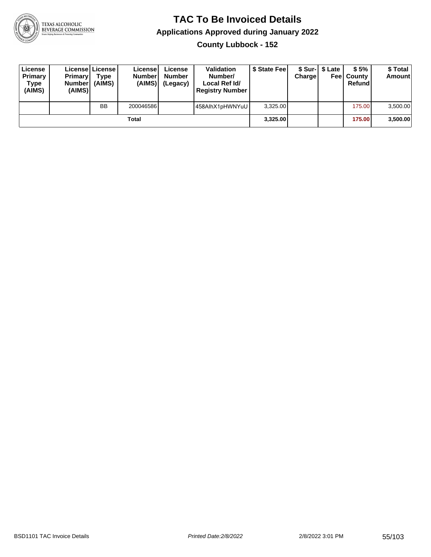

**County Lubbock - 152**

| License<br><b>Primary</b><br>Type<br>(AIMS) | <b>Primary</b><br><b>Number</b><br>(AIMS) | <b>License   License</b><br>Type<br>(AIMS) | License<br><b>Numberl</b><br>(AIMS) | License<br><b>Number</b><br>(Legacy) | <b>Validation</b><br>Number/<br>Local Ref Id/<br><b>Registry Number</b> | \$ State Feel | Charge | \$ Sur-1 \$ Late | \$5%<br><b>Feel County</b><br>Refund | \$ Total<br><b>Amount</b> |
|---------------------------------------------|-------------------------------------------|--------------------------------------------|-------------------------------------|--------------------------------------|-------------------------------------------------------------------------|---------------|--------|------------------|--------------------------------------|---------------------------|
|                                             |                                           | <b>BB</b>                                  | 200046586                           |                                      | 458AlhX1pHWNYuU                                                         | 3.325.00      |        |                  | 175.00                               | 3,500.00                  |
|                                             |                                           |                                            | Total                               |                                      |                                                                         | 3,325.00      |        |                  | 175.00                               | 3,500.00                  |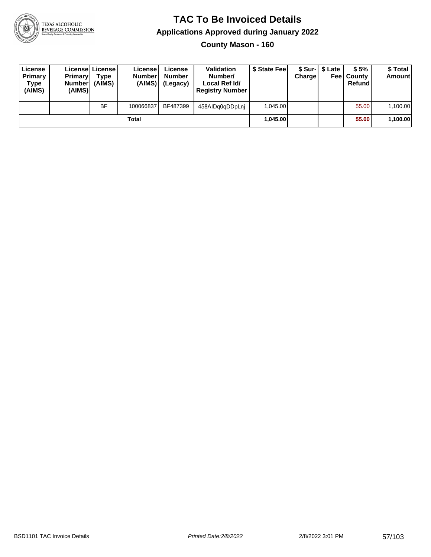

**County Mason - 160**

| License<br>Primary<br>Type<br>(AIMS) | <b>Primary</b><br>Number<br>(AIMS) | License   License  <br>Type<br>(AIMS) | License<br><b>Number</b><br>(AIMS) | License<br><b>Number</b><br>(Legacy) | <b>Validation</b><br>Number/<br>Local Ref Id/<br><b>Registry Number</b> | \$ State Feel | Charge | \$ Sur-1 \$ Late | \$5%<br><b>Feel County</b><br>Refund | \$ Total<br><b>Amount</b> |
|--------------------------------------|------------------------------------|---------------------------------------|------------------------------------|--------------------------------------|-------------------------------------------------------------------------|---------------|--------|------------------|--------------------------------------|---------------------------|
|                                      |                                    | <b>BF</b>                             | 100066837                          | BF487399                             | 458AIDq0qDDpLnj                                                         | 1,045.00      |        |                  | 55.00                                | 1,100.00                  |
|                                      |                                    |                                       | Total                              |                                      |                                                                         | 1.045.00      |        |                  | 55.00                                | 1,100.00                  |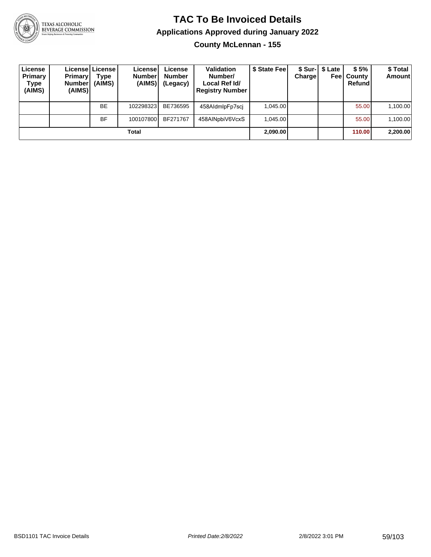

**County McLennan - 155**

| License<br>Primary<br>Type<br>(AIMS) | <b>Primary</b><br><b>Number</b><br>(AIMS) | License   License  <br>Type<br>(AIMS) | License!<br><b>Number</b><br>(AIMS) | License<br><b>Number</b><br>(Legacy) | <b>Validation</b><br>Number/<br>Local Ref Id/<br><b>Registry Number</b> | \$ State Fee | Charge | \$ Sur-1 \$ Late<br>Feel | \$5%<br>County<br>Refund | \$Total<br><b>Amount</b> |
|--------------------------------------|-------------------------------------------|---------------------------------------|-------------------------------------|--------------------------------------|-------------------------------------------------------------------------|--------------|--------|--------------------------|--------------------------|--------------------------|
|                                      |                                           | <b>BE</b>                             | 102298323                           | BE736595                             | 458AldmlpFp7sci                                                         | 1.045.00     |        |                          | 55.00                    | 1,100.00                 |
|                                      |                                           | <b>BF</b>                             | 100107800                           | BF271767                             | 458AINpbiV6VcxS                                                         | 1.045.00     |        |                          | 55.00                    | 1,100.00                 |
|                                      |                                           |                                       | Total                               |                                      |                                                                         | 2,090.00     |        |                          | 110.00                   | 2,200.00                 |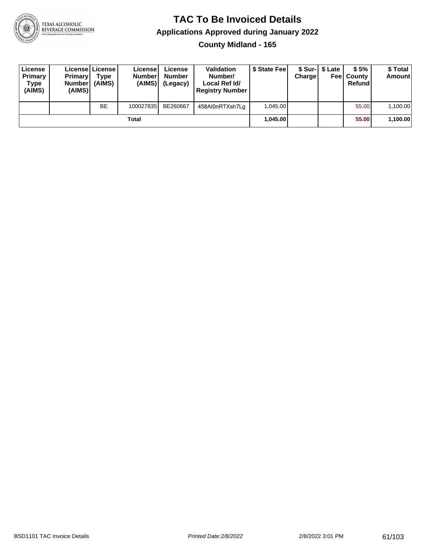

**County Midland - 165**

| License<br>Primary<br>Type<br>(AIMS) | <b>Primary</b><br><b>Number</b><br>(AIMS) | Licensel License<br>Type<br>(AIMS) | License<br><b>Number</b><br>(AIMS) | License<br><b>Number</b><br>(Legacy) | <b>Validation</b><br>Number/<br>Local Ref Id/<br><b>Registry Number</b> | \$ State Fee | Charge   | \$ Sur-1 \$ Late | \$5%<br><b>Feel County</b><br>Refund | \$ Total<br><b>Amount</b> |
|--------------------------------------|-------------------------------------------|------------------------------------|------------------------------------|--------------------------------------|-------------------------------------------------------------------------|--------------|----------|------------------|--------------------------------------|---------------------------|
|                                      |                                           | <b>BE</b>                          | 100027835                          | BE260667                             | 458Al0nRTXsh7Lq                                                         | 1.045.00     |          |                  | 55.00                                | 1,100.00                  |
| Total                                |                                           |                                    |                                    |                                      |                                                                         |              | 1.045.00 |                  | 55.00                                | 1,100.00                  |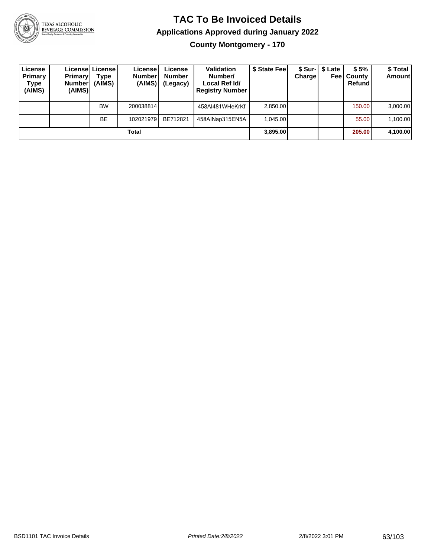

**County Montgomery - 170**

| License<br>Primary<br>Type<br>(AIMS) | <b>Primary</b><br><b>Number</b><br>(AIMS) | License   License  <br>Type<br>(AIMS) | License<br><b>Numberl</b><br>(AIMS)' | License<br><b>Number</b><br>(Legacy) | <b>Validation</b><br>Number/<br>Local Ref Id/<br><b>Registry Number</b> | \$ State Fee | Charge | \$ Sur-1 \$ Late | \$5%<br><b>Feel County</b><br>Refundl | \$ Total<br><b>Amount</b> |
|--------------------------------------|-------------------------------------------|---------------------------------------|--------------------------------------|--------------------------------------|-------------------------------------------------------------------------|--------------|--------|------------------|---------------------------------------|---------------------------|
|                                      |                                           | <b>BW</b>                             | 200038814                            |                                      | 458AI481WHeKrKf                                                         | 2,850.00     |        |                  | 150.00                                | 3,000.00                  |
|                                      |                                           | <b>BE</b>                             | 102021979                            | BE712821                             | 458AINap315EN5A                                                         | 1.045.00     |        |                  | 55.00                                 | 1,100.00                  |
| Total                                |                                           |                                       |                                      |                                      |                                                                         |              |        |                  | 205,00                                | 4,100.00                  |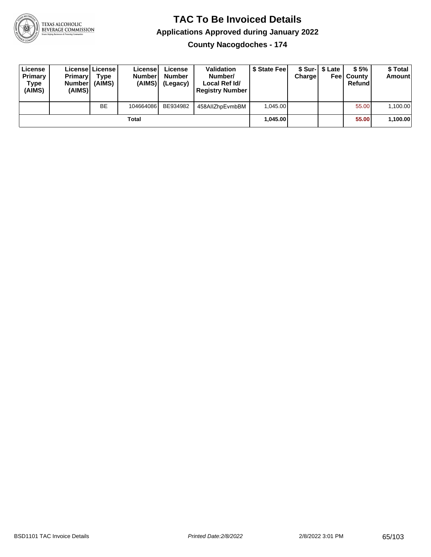

**County Nacogdoches - 174**

| License<br>Primary<br>Type<br>(AIMS) | <b>Primary</b><br><b>Number</b><br>(AIMS) | License License<br>Type<br>(AIMS) | License<br><b>Number</b><br>(AIMS) | License<br><b>Number</b><br>(Legacy) | <b>Validation</b><br>Number/<br>Local Ref Id/<br><b>Registry Number</b> | \$ State Feel | Charge | \$ Sur-1 \$ Late | \$5%<br><b>Feel County</b><br>Refund | \$ Total<br><b>Amount</b> |
|--------------------------------------|-------------------------------------------|-----------------------------------|------------------------------------|--------------------------------------|-------------------------------------------------------------------------|---------------|--------|------------------|--------------------------------------|---------------------------|
|                                      |                                           | <b>BE</b>                         | 104664086                          | BE934982                             | 458AIIZhpEvmbBM                                                         | 1.045.00      |        |                  | 55.00                                | 1,100.00                  |
| Total                                |                                           |                                   |                                    |                                      |                                                                         | 1.045.00      |        |                  | 55.00                                | 1,100.00                  |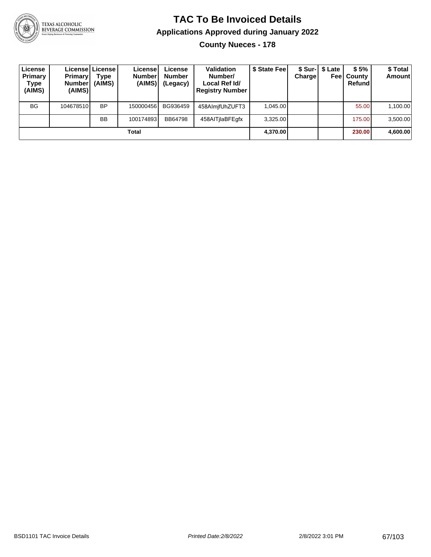

**County Nueces - 178**

| License<br><b>Primary</b><br>Type<br>(AIMS) | <b>Primary</b><br><b>Number</b><br>(AIMS) | License   License  <br>Type<br>(AIMS) | License <sup>®</sup><br><b>Number</b><br>(AIMS) | License<br><b>Number</b><br>(Legacy) | <b>Validation</b><br>Number/<br>Local Ref Id/<br><b>Registry Number</b> | \$ State Feel | Charge | \$ Sur-  \$ Late | \$5%<br><b>Feel County</b><br>Refund | \$ Total<br>Amount |
|---------------------------------------------|-------------------------------------------|---------------------------------------|-------------------------------------------------|--------------------------------------|-------------------------------------------------------------------------|---------------|--------|------------------|--------------------------------------|--------------------|
| <b>BG</b>                                   | 104678510                                 | <b>BP</b>                             | 150000456                                       | BG936459                             | 458AlmifUhZUFT3                                                         | 1.045.00      |        |                  | 55.00                                | 1,100.00           |
|                                             |                                           | <b>BB</b>                             | 100174893                                       | <b>BB64798</b>                       | 458AITjlaBFEqfx                                                         | 3.325.00      |        |                  | 175.00                               | 3,500.00           |
| Total                                       |                                           |                                       |                                                 |                                      |                                                                         |               |        |                  | 230.00                               | 4,600.00           |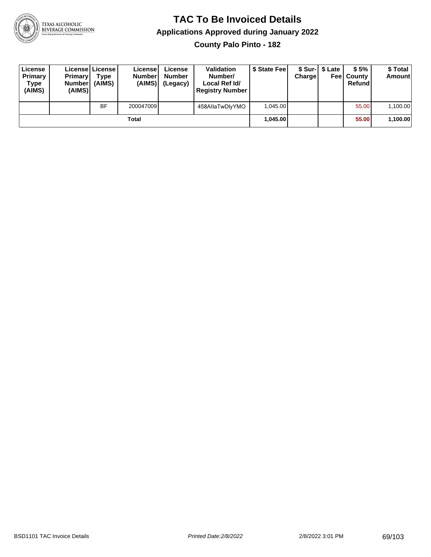

**County Palo Pinto - 182**

| License<br><b>Primary</b><br>Type<br>(AIMS) | <b>Primary</b><br><b>Number</b><br>(AIMS) | <b>License   License</b><br>Type<br>(AIMS) | License<br><b>Number</b><br>(AIMS) | License<br><b>Number</b><br>(Legacy) | <b>Validation</b><br>Number/<br>Local Ref Id/<br><b>Registry Number</b> | \$ State Feel | Charge   | \$ Sur-1 \$ Late | \$5%<br><b>Feel County</b><br>Refund | \$ Total<br><b>Amount</b> |
|---------------------------------------------|-------------------------------------------|--------------------------------------------|------------------------------------|--------------------------------------|-------------------------------------------------------------------------|---------------|----------|------------------|--------------------------------------|---------------------------|
|                                             |                                           | <b>BF</b>                                  | 200047009                          |                                      | 458AllaTwDlyYMO                                                         | 1.045.00      |          |                  | 55.00                                | 1,100.00                  |
| Total                                       |                                           |                                            |                                    |                                      |                                                                         |               | 1.045.00 |                  | 55.00                                | 1,100.00                  |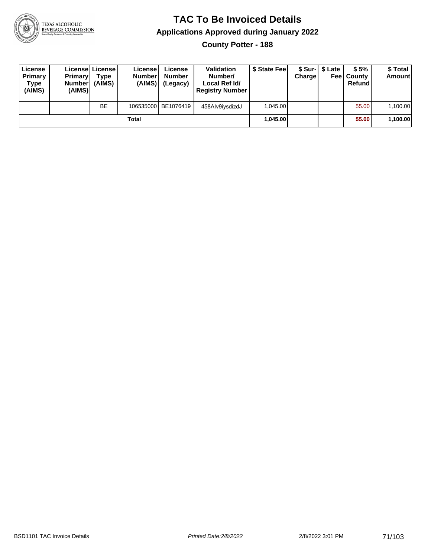

**County Potter - 188**

| License<br>Primary<br>Type<br>(AIMS) | <b>Primary</b><br><b>Number</b><br>(AIMS) | License License<br>Type<br>(AIMS) | License<br><b>Numberl</b><br>(AIMS) | License<br><b>Number</b><br>(Legacy) | Validation<br>Number/<br>Local Ref Id/<br><b>Registry Number</b> | \$ State Feel | Charge | \$ Sur-1 \$ Late | \$5%<br><b>Feel County</b><br>Refund | \$ Total<br><b>Amount</b> |
|--------------------------------------|-------------------------------------------|-----------------------------------|-------------------------------------|--------------------------------------|------------------------------------------------------------------|---------------|--------|------------------|--------------------------------------|---------------------------|
|                                      |                                           | <b>BE</b>                         |                                     | 106535000 BE1076419                  | 458Alv9iysdizdJ                                                  | 1.045.00      |        |                  | 55.00                                | 1,100.00                  |
| Total                                |                                           |                                   |                                     |                                      |                                                                  | 1.045.00      |        |                  | 55.00                                | 1,100.00                  |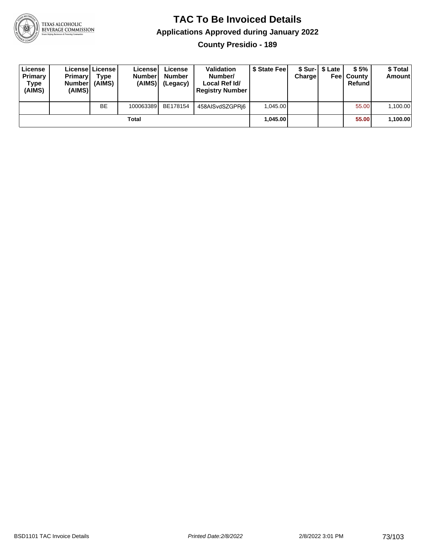

**County Presidio - 189**

| License<br>Primary<br>Type<br>(AIMS) | <b>Primary</b><br><b>Number</b><br>(AIMS) | Licensel License<br>Type<br>(AIMS) | License<br><b>Number</b><br>(AIMS) | License<br><b>Number</b><br>(Legacy) | <b>Validation</b><br>Number/<br>Local Ref Id/<br><b>Registry Number</b> | \$ State Fee | Charge | \$ Sur-1 \$ Late | \$5%<br><b>Feel County</b><br>Refund | \$ Total<br><b>Amount</b> |
|--------------------------------------|-------------------------------------------|------------------------------------|------------------------------------|--------------------------------------|-------------------------------------------------------------------------|--------------|--------|------------------|--------------------------------------|---------------------------|
|                                      |                                           | <b>BE</b>                          | 100063389                          | BE178154                             | 458AISvdSZGPRi6                                                         | 1.045.00     |        |                  | 55.00                                | 1,100.00                  |
|                                      |                                           |                                    | Total                              |                                      |                                                                         | 1.045.00     |        |                  | 55.00                                | 1,100.00                  |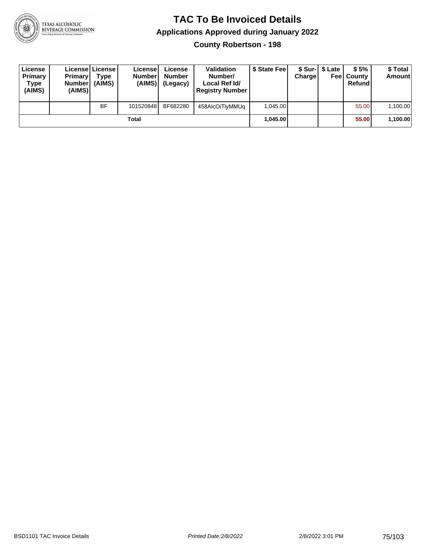

**County Robertson - 198**

| License<br>Primary<br>Type<br>(AIMS) | <b>Primary</b><br><b>Number</b><br>(AIMS) | <b>License   License</b><br>Type<br>(AIMS) | License<br><b>Number</b><br>(AIMS) | License<br><b>Number</b><br>(Legacy) | <b>Validation</b><br>Number/<br>Local Ref Id/<br><b>Registry Number</b> | \$ State Feel | Charge | \$ Sur-1 \$ Late | \$5%<br><b>Feel County</b><br>Refund | \$ Total<br><b>Amount</b> |
|--------------------------------------|-------------------------------------------|--------------------------------------------|------------------------------------|--------------------------------------|-------------------------------------------------------------------------|---------------|--------|------------------|--------------------------------------|---------------------------|
|                                      |                                           | <b>BF</b>                                  | 101520848                          | BF682280                             | 458AlcOiTlyMMUq                                                         | 1.045.00      |        |                  | 55.00                                | 1,100.00                  |
|                                      |                                           |                                            | Total                              |                                      |                                                                         | 1.045.00      |        |                  | 55.00                                | 1,100.00                  |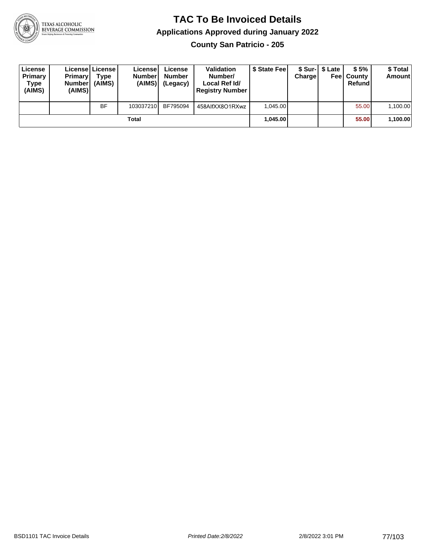

**County San Patricio - 205**

| License<br>Primary<br>Type<br>(AIMS) | <b>Primary</b><br><b>Number</b><br>(AIMS) | <b>License   License</b><br>Type<br>(AIMS) | License<br><b>Number</b><br>(AIMS) | License<br><b>Number</b><br>(Legacy) | <b>Validation</b><br>Number/<br>Local Ref Id/<br><b>Registry Number</b> | \$ State Feel | Charge | \$ Sur-1 \$ Late | \$5%<br><b>Feel County</b><br>Refund | \$ Total<br><b>Amount</b> |
|--------------------------------------|-------------------------------------------|--------------------------------------------|------------------------------------|--------------------------------------|-------------------------------------------------------------------------|---------------|--------|------------------|--------------------------------------|---------------------------|
|                                      |                                           | <b>BF</b>                                  | 103037210                          | BF795094                             | 458AlfXX8O1RXwz                                                         | 1.045.00      |        |                  | 55.00                                | 1,100.00                  |
|                                      |                                           |                                            | Total                              |                                      |                                                                         | 1.045.00      |        |                  | 55.00                                | 1,100.00                  |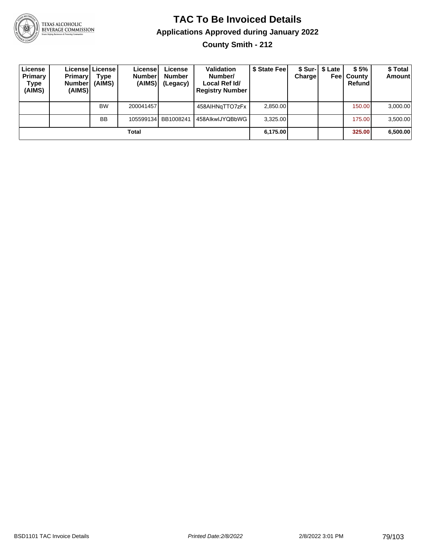

**County Smith - 212**

| License<br>Primary<br>Type<br>(AIMS) | Primaryl<br><b>Number</b><br>(AIMS) | License   License  <br>Type<br>(AIMS) | License <sup>1</sup><br><b>Number</b><br>(AIMS) | License<br><b>Number</b><br>(Legacy) | <b>Validation</b><br>Number/<br>Local Ref Id/<br><b>Registry Number</b> | \$ State Feel | <b>Charge</b> | \$ Sur-1 \$ Late<br>Feel | \$5%<br>County<br>Refund | \$ Total<br><b>Amount</b> |
|--------------------------------------|-------------------------------------|---------------------------------------|-------------------------------------------------|--------------------------------------|-------------------------------------------------------------------------|---------------|---------------|--------------------------|--------------------------|---------------------------|
|                                      |                                     | <b>BW</b>                             | 200041457                                       |                                      | 458AIHNgTTO7zFx                                                         | 2,850.00      |               |                          | 150.00                   | 3,000.00                  |
|                                      |                                     | <b>BB</b>                             | 105599134                                       | BB1008241                            | 458AlkwIJYQBbWG                                                         | 3,325.00      |               |                          | 175.00                   | 3,500.00                  |
|                                      |                                     |                                       | Total                                           |                                      |                                                                         | 6,175.00      |               |                          | 325.00                   | 6,500.00                  |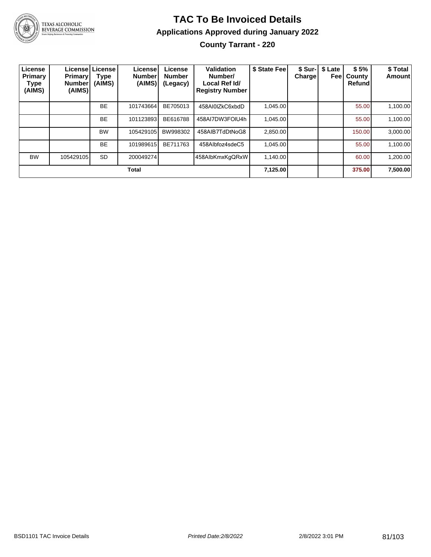

#### **TAC To Be Invoiced Details Applications Approved during January 2022 County Tarrant - 220**

| License<br>Primary<br>Type<br>(AIMS) | <b>Primary</b><br><b>Number</b><br>(AIMS) | Licensel License<br>Type<br>(AIMS) | License!<br><b>Number</b><br>(AIMS) | License<br><b>Number</b><br>(Legacy) | Validation<br>Number/<br>Local Ref Id/<br><b>Registry Number</b> | \$ State Fee | <b>Charge!</b> | \$ Sur-   \$ Late<br>Feel | \$5%<br>County<br><b>Refund</b> | \$ Total<br><b>Amount</b> |
|--------------------------------------|-------------------------------------------|------------------------------------|-------------------------------------|--------------------------------------|------------------------------------------------------------------|--------------|----------------|---------------------------|---------------------------------|---------------------------|
|                                      |                                           | <b>BE</b>                          | 101743664                           | BE705013                             | 458AI0IZkC6xbdD                                                  | 1,045.00     |                |                           | 55.00                           | 1,100.00                  |
|                                      |                                           | <b>BE</b>                          | 101123893                           | BE616788                             | 458AI7DW3FOIU4h                                                  | 1,045.00     |                |                           | 55.00                           | 1,100.00                  |
|                                      |                                           | <b>BW</b>                          | 105429105                           | BW998302                             | 458AIB7TdDtNoG8                                                  | 2,850.00     |                |                           | 150.00                          | 3,000.00                  |
|                                      |                                           | <b>BE</b>                          | 101989615                           | BE711763                             | 458Albfoz4sdeC5                                                  | 1.045.00     |                |                           | 55.00                           | 1,100.00                  |
| <b>BW</b>                            | 105429105                                 | <b>SD</b>                          | 200049274                           |                                      | 458AlbKmxKgQRxW                                                  | 1.140.00     |                |                           | 60.00                           | 1,200.00                  |
|                                      |                                           |                                    | Total                               |                                      |                                                                  | 7,125.00     |                |                           | 375.00                          | 7,500.00                  |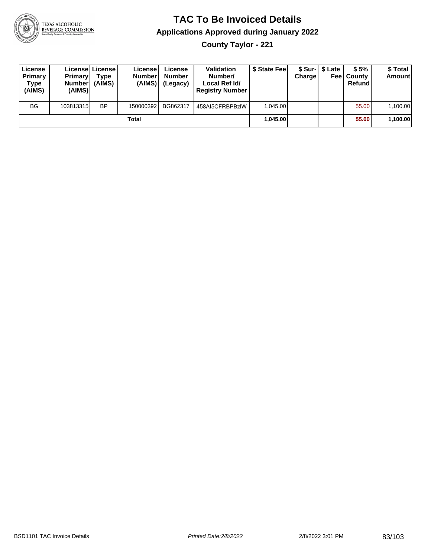

**County Taylor - 221**

| License<br>Primary<br>Type<br>(AIMS) | <b>Primary</b><br><b>Number</b><br>(AIMS) | License   License  <br>Type<br>(AIMS) | License<br><b>Number</b><br>(AIMS) | License<br><b>Number</b><br>(Legacy) | Validation<br>Number/<br>Local Ref Id/<br><b>Registry Number</b> | \$ State Feel | Charge | \$ Sur-1 \$ Late | \$5%<br><b>Feel County</b><br>Refund | \$ Total<br><b>Amount</b> |
|--------------------------------------|-------------------------------------------|---------------------------------------|------------------------------------|--------------------------------------|------------------------------------------------------------------|---------------|--------|------------------|--------------------------------------|---------------------------|
| <b>BG</b>                            | 103813315                                 | <b>BP</b>                             | 150000392                          | BG862317                             | 458AI5CFRBPBzIW                                                  | 1.045.00      |        |                  | 55.00                                | 1,100.00                  |
|                                      |                                           |                                       | <b>Total</b>                       |                                      |                                                                  | 1.045.00      |        |                  | 55.00                                | 1,100.00                  |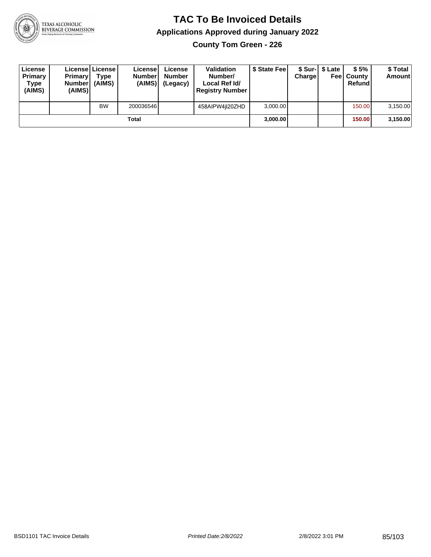

**County Tom Green - 226**

| License<br>Primary<br>Type<br>(AIMS) | <b>Primary</b><br><b>Number</b><br>(AIMS) | License   License  <br>Type<br>(AIMS) | License<br><b>Number</b><br>(AIMS) | License<br><b>Number</b><br>(Legacy) | <b>Validation</b><br>Number/<br>Local Ref Id/<br><b>Registry Number</b> | \$ State Feel | Charge | \$ Sur-1 \$ Late | \$5%<br><b>Feel County</b><br>Refund | \$ Total<br><b>Amount</b> |
|--------------------------------------|-------------------------------------------|---------------------------------------|------------------------------------|--------------------------------------|-------------------------------------------------------------------------|---------------|--------|------------------|--------------------------------------|---------------------------|
|                                      |                                           | <b>BW</b>                             | 200036546                          |                                      | 458AIPW4iI20ZHD                                                         | 3,000.00      |        |                  | 150.00                               | 3,150.00                  |
|                                      |                                           |                                       | Total                              |                                      |                                                                         | 3,000.00      |        |                  | 150.00                               | 3,150.00                  |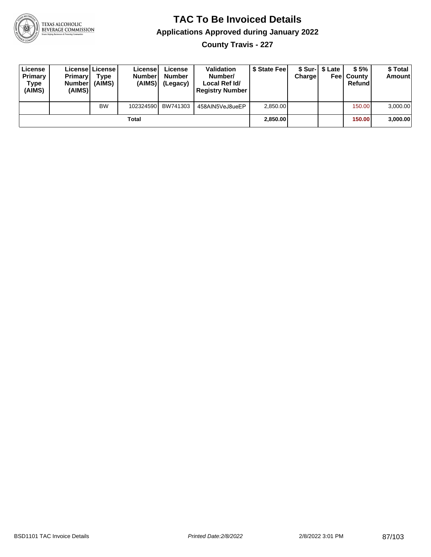

**County Travis - 227**

| License<br>Primary<br>Type<br>(AIMS) | <b>Primary</b><br><b>Number</b><br>(AIMS)I | Licensel License<br>Type<br>(AIMS) | License<br><b>Number</b><br>(AIMS) | License<br><b>Number</b><br>(Legacy) | <b>Validation</b><br>Number/<br>Local Ref Id/<br><b>Registry Number</b> | \$ State Feel | Charge | \$ Sur-1 \$ Late | \$5%<br><b>Feel County</b><br>Refund | \$ Total<br><b>Amount</b> |
|--------------------------------------|--------------------------------------------|------------------------------------|------------------------------------|--------------------------------------|-------------------------------------------------------------------------|---------------|--------|------------------|--------------------------------------|---------------------------|
|                                      |                                            | <b>BW</b>                          | 102324590                          | BW741303                             | 458AIN5VeJ8ueEP                                                         | 2.850.00      |        |                  | 150.00                               | 3,000.00                  |
|                                      |                                            |                                    | Total                              |                                      |                                                                         | 2,850.00      |        |                  | 150.00                               | 3,000.00                  |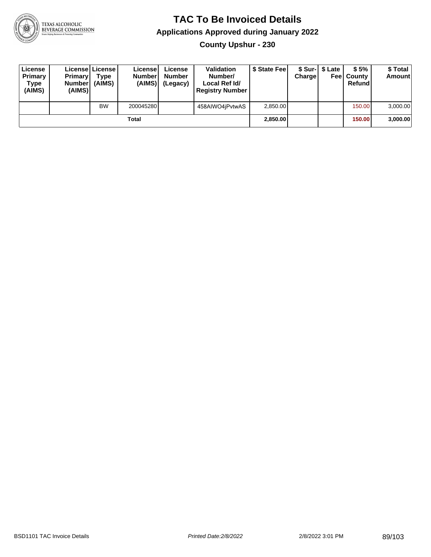

**County Upshur - 230**

| License<br>Primary<br>Type<br>(AIMS) | <b>Primary</b><br><b>Number</b><br>(AIMS)I | <b>License   License</b><br>Type<br>(AIMS) | License<br><b>Number</b><br>(AIMS) | License<br><b>Number</b><br>(Legacy) | <b>Validation</b><br>Number/<br>Local Ref Id/<br><b>Registry Number</b> | \$ State Feel | Charge | \$ Sur-1 \$ Late | \$5%<br><b>Feel County</b><br>Refund | \$ Total<br><b>Amount</b> |
|--------------------------------------|--------------------------------------------|--------------------------------------------|------------------------------------|--------------------------------------|-------------------------------------------------------------------------|---------------|--------|------------------|--------------------------------------|---------------------------|
|                                      |                                            | <b>BW</b>                                  | 200045280                          |                                      | 458AIWO4jPvtwAS                                                         | 2.850.00      |        |                  | 150.00                               | 3,000.00                  |
|                                      |                                            |                                            | Total                              |                                      |                                                                         | 2.850.00      |        |                  | <b>150.00</b>                        | 3,000.00                  |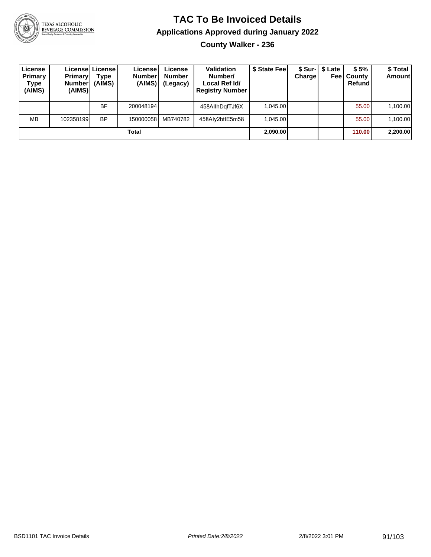

**County Walker - 236**

| License<br>Primary<br>Type<br>(AIMS) | <b>Primary</b><br><b>Number</b><br>(AIMS) | License   License  <br><b>Type</b><br>(AIMS) | License<br><b>Number</b><br>(AIMS) | License<br><b>Number</b><br>(Legacy) | <b>Validation</b><br>Number/<br>Local Ref Id/<br><b>Registry Number</b> | \$ State Fee | Chargel | \$ Sur-1 \$ Late<br>Feel | \$5%<br>County<br>Refund | \$ Total<br><b>Amount</b> |
|--------------------------------------|-------------------------------------------|----------------------------------------------|------------------------------------|--------------------------------------|-------------------------------------------------------------------------|--------------|---------|--------------------------|--------------------------|---------------------------|
|                                      |                                           | BF                                           | 200048194                          |                                      | 458AllhDgfTJf6X                                                         | 1.045.00     |         |                          | 55.00                    | 1,100.00                  |
| <b>MB</b>                            | 102358199                                 | <b>BP</b>                                    | 150000058                          | MB740782                             | 458Aly2btlE5m58                                                         | 1.045.00     |         |                          | 55.00                    | 1,100.00                  |
|                                      |                                           |                                              | Total                              |                                      |                                                                         | 2,090.00     |         |                          | 110.00                   | 2,200.00                  |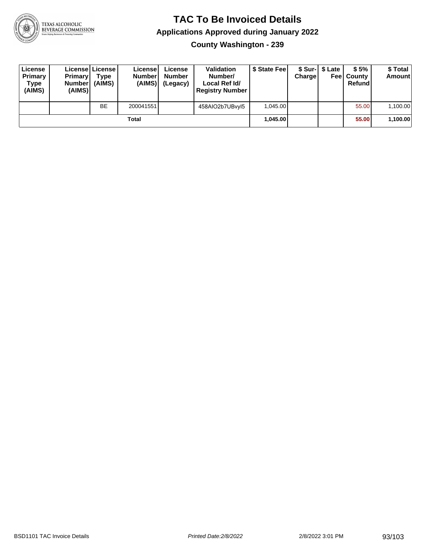

**County Washington - 239**

| License<br>Primary<br>Type<br>(AIMS) | <b>Primary</b><br><b>Number</b><br>(AIMS) | <b>License   License</b><br>Type<br>(AIMS) | License<br><b>Number</b><br>(AIMS) | License<br>Number<br>(Legacy) | <b>Validation</b><br>Number/<br>Local Ref Id/<br><b>Registry Number</b> | \$ State Feel | Charge | \$ Sur-1 \$ Late | \$5%<br><b>Feel County</b><br>Refund | \$ Total<br><b>Amount</b> |
|--------------------------------------|-------------------------------------------|--------------------------------------------|------------------------------------|-------------------------------|-------------------------------------------------------------------------|---------------|--------|------------------|--------------------------------------|---------------------------|
|                                      |                                           | <b>BE</b>                                  | 200041551                          |                               | 458AIO2b7UBvyl5                                                         | 1.045.00      |        |                  | 55.00                                | 1,100.00                  |
|                                      |                                           |                                            | Total                              |                               |                                                                         | 1.045.00      |        |                  | 55.00                                | 1,100.00                  |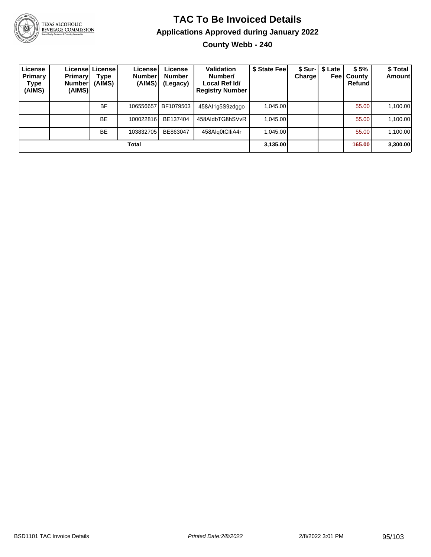

# TEXAS ALCOHOLIC<br>BEVERAGE COMMISSION

### **TAC To Be Invoiced Details Applications Approved during January 2022**

**County Webb - 240**

| License<br><b>Primary</b><br>Type<br>(AIMS) | <b>Primary</b><br>Number <sup>1</sup><br>(AIMS) | License   License  <br>Type<br>(AIMS) | Licensel<br><b>Number</b><br>(AIMS) | License<br><b>Number</b><br>(Legacy) | Validation<br>Number/<br>Local Ref Id/<br><b>Registry Number</b> | \$ State Fee | Chargel | \$ Sur-1 \$ Late<br>Feel | \$5%<br>County<br>Refund | \$ Total<br>Amount |
|---------------------------------------------|-------------------------------------------------|---------------------------------------|-------------------------------------|--------------------------------------|------------------------------------------------------------------|--------------|---------|--------------------------|--------------------------|--------------------|
|                                             |                                                 | <b>BF</b>                             | 106556657                           | BF1079503                            | 458Al1q5S9zdqqo                                                  | 1.045.00     |         |                          | 55.00                    | 1,100.00           |
|                                             |                                                 | <b>BE</b>                             | 100022816                           | BE137404                             | 458AldbTG8hSVvR                                                  | 1.045.00     |         |                          | 55.00                    | 1,100.00           |
|                                             |                                                 | <b>BE</b>                             | 103832705                           | BE863047                             | 458Alg0tClliA4r                                                  | 1.045.00     |         |                          | 55.00                    | 1,100.00           |
|                                             |                                                 |                                       | Total                               |                                      |                                                                  | 3,135.00     |         |                          | 165.00                   | 3,300.00           |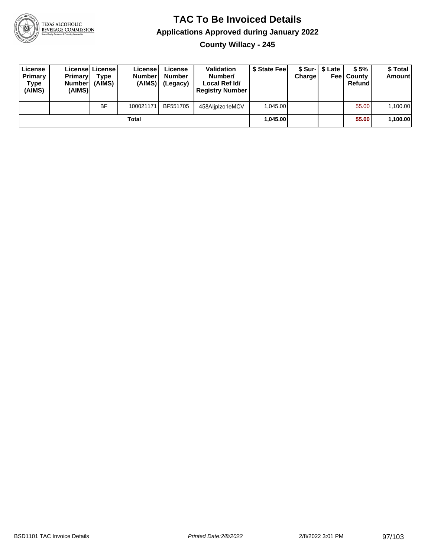

**County Willacy - 245**

| License<br>Primary<br>Type<br>(AIMS) | <b>Primary</b><br><b>Number</b><br>(AIMS) | License   License  <br>Type<br>(AIMS) | License<br><b>Numberl</b><br>(AIMS) | License<br><b>Number</b><br>(Legacy) | <b>Validation</b><br>Number/<br>Local Ref Id/<br><b>Registry Number</b> | \$ State Feel | Charge | \$ Sur-1 \$ Late | \$5%<br><b>Feel County</b><br>Refund | \$ Total<br>Amount |
|--------------------------------------|-------------------------------------------|---------------------------------------|-------------------------------------|--------------------------------------|-------------------------------------------------------------------------|---------------|--------|------------------|--------------------------------------|--------------------|
|                                      |                                           | <b>BF</b>                             | 100021171                           | BF551705                             | 458Aliplzo1eMCV                                                         | 1.045.00      |        |                  | 55.00                                | 1,100.00           |
| Total                                |                                           |                                       |                                     |                                      |                                                                         | 1.045.00      |        |                  | 55.00                                | 1,100.00           |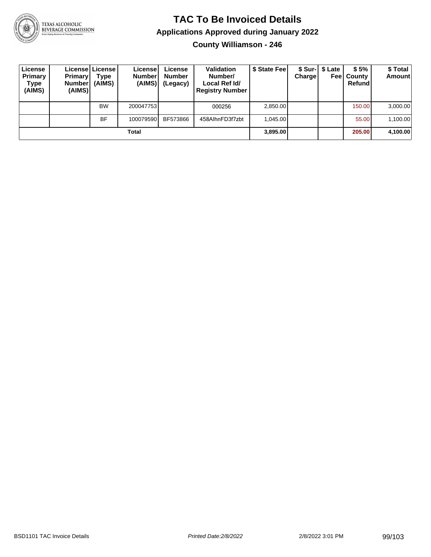

**County Williamson - 246**

| License<br>Primary<br>Type<br>(AIMS) | <b>Primary</b><br>Number <br>(AIMS) | Licensel License I<br>Type<br>(AIMS) | License<br><b>Number</b><br>(AIMS) | License<br><b>Number</b><br>(Legacy) | <b>Validation</b><br>Number/<br>Local Ref Id/<br><b>Registry Number</b> | \$ State Fee | Charge | \$ Sur-  \$ Late<br>Feel | \$5%<br>County<br>Refund | \$ Total<br>Amount |
|--------------------------------------|-------------------------------------|--------------------------------------|------------------------------------|--------------------------------------|-------------------------------------------------------------------------|--------------|--------|--------------------------|--------------------------|--------------------|
|                                      |                                     | <b>BW</b>                            | 200047753                          |                                      | 000256                                                                  | 2,850.00     |        |                          | 150.00                   | 3,000.00           |
|                                      |                                     | <b>BF</b>                            | 100079590                          | BF573866                             | 458AlhnFD3f7zbt                                                         | 1.045.00     |        |                          | 55.00                    | 1,100.00           |
| Total                                |                                     |                                      |                                    |                                      |                                                                         | 3,895.00     |        |                          | 205,00                   | 4,100.00           |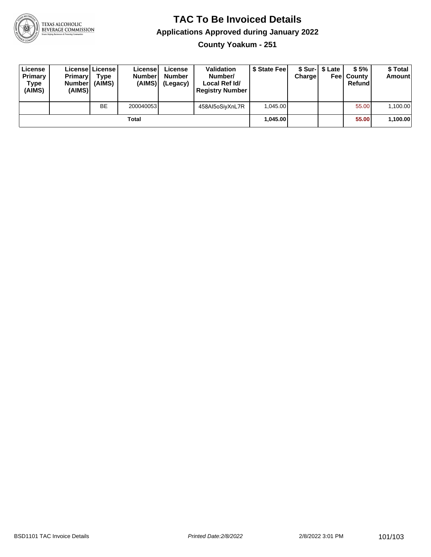

**County Yoakum - 251**

| License<br>Primary<br>Type<br>(AIMS) | <b>Primary</b><br><b>Number</b><br>(AIMS) | <b>License   License</b><br>Type<br>(AIMS) | License<br><b>Number</b><br>(AIMS) | License<br><b>Number</b><br>(Legacy) | <b>Validation</b><br>Number/<br>Local Ref Id/<br><b>Registry Number</b> | \$ State Feel | Charge | \$ Sur-1 \$ Late | \$5%<br><b>Feel County</b><br>Refund | \$ Total<br><b>Amount</b> |
|--------------------------------------|-------------------------------------------|--------------------------------------------|------------------------------------|--------------------------------------|-------------------------------------------------------------------------|---------------|--------|------------------|--------------------------------------|---------------------------|
|                                      |                                           | <b>BE</b>                                  | 200040053                          |                                      | 458AI5oSiyXnL7R                                                         | 1.045.00      |        |                  | 55.00                                | 1,100.00                  |
| Total                                |                                           |                                            |                                    |                                      |                                                                         | 1.045.00      |        |                  | 55.00                                | 1,100.00                  |